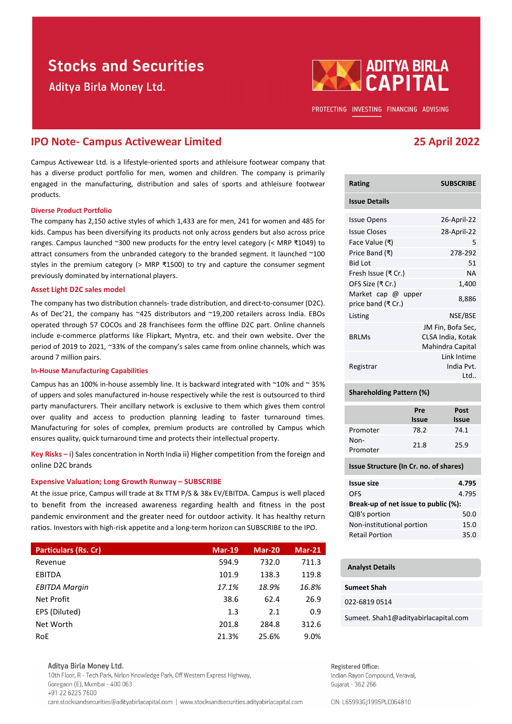# **Stocks and Securities**

Aditya Birla Money Ltd.



PROTECTING INVESTING FINANCING ADVISING

## IPO Note- Campus Activewear Limited 25 April 2022

Campus Activewear Ltd. is a lifestyle-oriented sports and athleisure footwear company that has a diverse product portfolio for men, women and children. The company is primarily engaged in the manufacturing, distribution and sales of sports and athleisure footwear products.

#### Diverse Product Portfolio

The company has 2,150 active styles of which 1,433 are for men, 241 for women and 485 for kids. Campus has been diversifying its products not only across genders but also across price ranges. Campus launched ~300 new products for the entry level category (< MRP ₹1049) to attract consumers from the unbranded category to the branded segment. It launched ~100 styles in the premium category (> MRP ₹1500) to try and capture the consumer segment previously dominated by international players.

#### Asset Light D2C sales model

The company has two distribution channels- trade distribution, and direct-to-consumer (D2C). As of Dec'21, the company has ~425 distributors and ~19,200 retailers across India. EBOs operated through 57 COCOs and 28 franchisees form the offline D2C part. Online channels include e-commerce platforms like Flipkart, Myntra, etc. and their own website. Over the period of 2019 to 2021, ~33% of the company's sales came from online channels, which was around 7 million pairs.

#### In-House Manufacturing Capabilities

Campus has an 100% in-house assembly line. It is backward integrated with  $\sim$ 10% and  $\sim$  35% of uppers and soles manufactured in-house respectively while the rest is outsourced to third party manufacturers. Their ancillary network is exclusive to them which gives them control over quality and access to production planning leading to faster turnaround times. Manufacturing for soles of complex, premium products are controlled by Campus which ensures quality, quick turnaround time and protects their intellectual property.

Key Risks – i) Sales concentration in North India ii) Higher competition from the foreign and online D2C brands

#### Expensive Valuation; Long Growth Runway – SUBSCRIBE

At the issue price, Campus will trade at 8x TTM P/S & 38x EV/EBITDA. Campus is well placed to benefit from the increased awareness regarding health and fitness in the post pandemic environment and the greater need for outdoor activity. It has healthy return ratios. Investors with high-risk appetite and a long-term horizon can SUBSCRIBE to the IPO.

| <b>Particulars (Rs. Cr)</b> | <b>Mar-19</b> | <b>Mar-20</b> | $Mar-21$ |
|-----------------------------|---------------|---------------|----------|
| Revenue                     | 594.9         | 732.0         | 711.3    |
| EBITDA                      | 101.9         | 138.3         | 119.8    |
| <b>EBITDA Margin</b>        | 17.1%         | 18.9%         | 16.8%    |
| Net Profit                  | 38.6          | 62.4          | 26.9     |
| EPS (Diluted)               | 1.3           | 2.1           | 0.9      |
| Net Worth                   | 201.8         | 284.8         | 312.6    |
| <b>RoE</b>                  | 21.3%         | 25.6%         | 9.0%     |

#### Aditva Birla Monev Ltd.

10th Floor, R - Tech Park, Nirlon Knowledge Park, Off Western Express Highway, Goregaon (E), Mumbai - 400 063 +91 22 6225 7600 care.stocksandsecurities@adityabirlacapital.com | www.stocksandsecurities.adityabirlacapital.com

| Rating                                   | <b>SUBSCRIBE</b>                                           |
|------------------------------------------|------------------------------------------------------------|
| <b>Issue Details</b>                     |                                                            |
| <b>Issue Opens</b>                       | 26-April-22                                                |
| <b>Issue Closes</b>                      | 28-April-22                                                |
| Face Value (₹)                           | 5                                                          |
| Price Band (₹)                           | 278-292                                                    |
| Bid Lot                                  | 51                                                         |
| Fresh Issue (₹ Cr.)                      | ΝA                                                         |
| OFS Size (₹ Cr.)                         | 1,400                                                      |
| Market cap @ upper<br>price band (₹ Cr.) | 8,886                                                      |
| Listing                                  | NSE/BSE                                                    |
| <b>BRIMS</b>                             | JM Fin, Bofa Sec,<br>CLSA India, Kotak<br>Mahindra Capital |
| Registrar                                | <b>Link Intime</b><br>India Pvt.<br>l td                   |

### Shareholding Pattern (%)

|                  | Pre          | Post  |
|------------------|--------------|-------|
|                  | <b>Issue</b> | Issue |
| Promoter         | 78.2         | 74.1  |
| Non-<br>Promoter | 21.8         | 25.9  |

#### Issue Structure (In Cr. no. of shares)

| <b>Issue size</b>                    | 4.795 |  |  |  |
|--------------------------------------|-------|--|--|--|
| <b>OFS</b>                           | 4.795 |  |  |  |
| Break-up of net issue to public (%): |       |  |  |  |
| QIB's portion                        | 50.0  |  |  |  |
| Non-institutional portion            | 15.0  |  |  |  |
| <b>Retail Portion</b>                | 35.0  |  |  |  |

#### Analyst Details

| <b>Sumeet Shah</b> |  |
|--------------------|--|
|                    |  |
|                    |  |

022-6819 0514

Sumeet. Shah1@adityabirlacapital.com

#### Registered Office:

Indian Rayon Compound, Veraval, Gujarat - 362 266

CIN: L65993GJ1995PLC064810